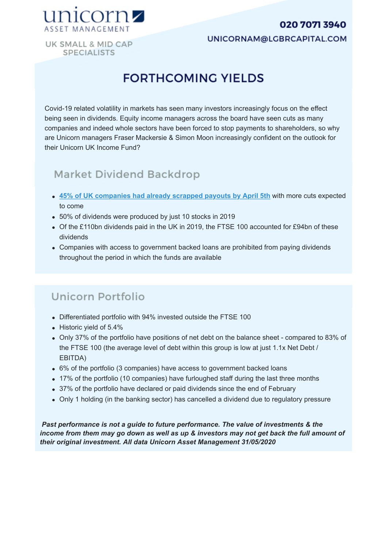#### 020 7071 3940



UNICORNAM@LGBRCAPITAL.COM

UK SMALL & MID CAP **SPECIALISTS** 

# **FORTHCOMING YIELDS**

Covid-19 related volatility in markets has seen many investors increasingly focus on the effect being seen in dividends. Equity income managers across the board have seen cuts as many companies and indeed whole sectors have been forced to stop payments to shareholders, so why are Unicorn managers Fraser Mackersie & Simon Moon increasingly confident on the outlook for their Unicorn UK Income Fund?

### Market Dividend Backdrop

- **45% of UK companies had already scrapped payouts by April 5th** with more cuts expected to come
- 50% of dividends were produced by just 10 stocks in 2019
- Of the £110bn dividends paid in the UK in 2019, the FTSE 100 accounted for £94bn of these dividends
- Companies with access to government backed loans are prohibited from paying dividends throughout the period in which the funds are available

## Unicorn Portfolio

- Differentiated portfolio with 94% invested outside the FTSE 100
- Historic yield of 5.4%
- Only 37% of the portfolio have positions of net debt on the balance sheet compared to 83% of the FTSE 100 (the average level of debt within this group is low at just 1.1x Net Debt / EBITDA)
- 6% of the portfolio (3 companies) have access to government backed loans
- 17% of the portfolio (10 companies) have furloughed staff during the last three months
- 37% of the portfolio have declared or paid dividends since the end of February
- Only 1 holding (in the banking sector) has cancelled a dividend due to regulatory pressure

 *Past performance is not a guide to future performance. The value of investments & the income from them may go down as well as up & investors may not get back the full amount of their original investment. All data Unicorn Asset Management 31/05/2020*